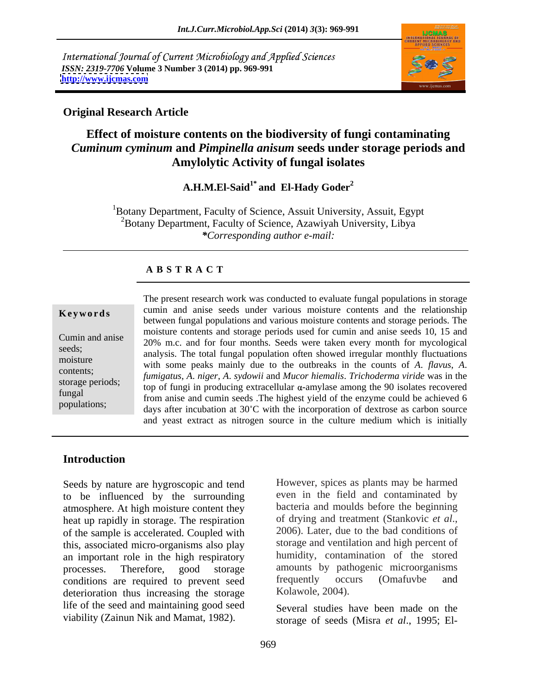International Journal of Current Microbiology and Applied Sciences *ISSN: 2319-7706* **Volume 3 Number 3 (2014) pp. 969-991 <http://www.ijcmas.com>**



### **Original Research Article**

# **Effect of moisture contents on the biodiversity of fungi contaminating**  *Cuminum cyminum* **and** *Pimpinella anisum* **seeds under storage periods and Amylolytic Activity of fungal isolates**

**A.H.M.El-Said1\* and El-Hady Goder2**

<sup>1</sup>Botany Department, Faculty of Science, Assuit University, Assuit, Egypt 2Botany Department, Faculty of Science, Azawiyah University, Libya *\*Corresponding author e-mail:*

## **A B S T R A C T**

adjusted to pH 6.

**Keywords** cumin and anise seeds under various moisture contents and the relationship Cumin and anise 20% m.c. and for four months. Seeds were taken every month for mycological seeds;<br>analysis. The total fungal population often showed irregular monthly fluctuations moisture with some peaks mainly due to the outbreaks in the counts of *A*. *flavus*, *A*. contents; *fumigatus*, *A*. *niger*, *A*. *sydowii* and *Mucor hiemalis*. *Trichoderma viride* was in the storage periods;  $t_{\text{top of fungi in producing extracellular }\alpha\text{-amylase among the 90 isolates recovered}$ fungal<br>
from anise and cumin seeds . The highest yield of the enzyme could be achieved 6 populations;<br>days after incubation at 30°C with the incorporation of dextrose as carbon source The present research work was conducted to evaluate fungal populations in storage between fungal populations and various moisture contents and storage periods. The moisture contents and storage periods used for cumin and anise seeds 10, 15 and and yeast extract as nitrogen source in the culture medium which is initially

## **Introduction**

Seeds by nature are hygroscopic and tend to be influenced by the surrounding atmosphere. At high moisture content they bacteria and moulds before the beginning<br>heat un rapidly in storage. The respiration of drying and treatment (Stankovic *et al.*, heat up rapidly in storage. The respiration of drying and treatment (Stankovic *et al.*, of the sample is accelerated Coupled with 2006). Later, due to the bad conditions of of the sample is accelerated. Coupled with this, associated micro-organisms also play an important role in the high respiratory processes. Therefore, good storage amounts by pathogenic microorganisms conditions are required to prevent seed frequently occurs (Omafuvbe and deterioration thus increasing the storage life of the seed and maintaining good seed viability (Zainun Nik and Mamat, 1982).

However, spices as plants may be harmed even in the field and contaminated by bacteria and moulds before the beginning of drying and treatment (Stankovic *et al*., 2006). Later, due to the bad conditions of storage and ventilation and high percent of humidity, contamination of the stored frequently occurs (Omafuvbe and Kolawole, 2004).

Several studies have been made on the storage of seeds (Misra *et al*., 1995; El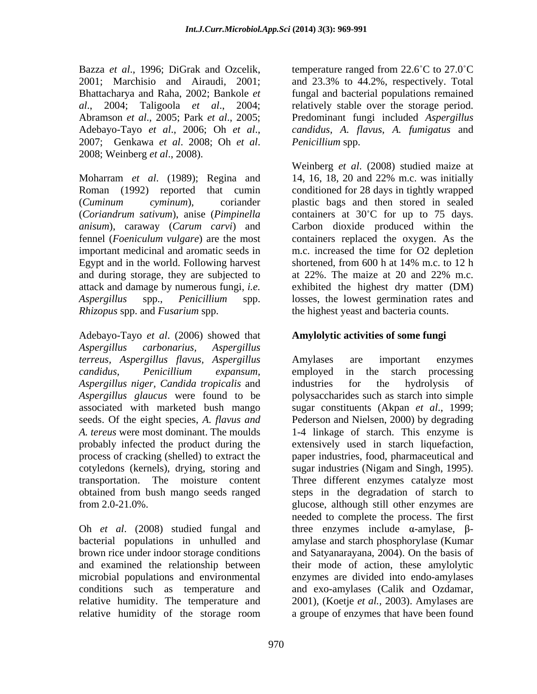Bazza *et al.*, 1996; DiGrak and Ozcelik, temperature ranged from 22.6°C to 27.0°C 2001; Marchisio and Airaudi, 2001; and 23.3% to 44.2%, respectively. Total Bhattacharya and Raha, 2002; Bankole *et*  fungal and bacterial populations remained *al*., 2004; Taligoola *et al*., 2004; relatively stable over the storage period. Abramson *et al*., 2005; Park *et al*., 2005; Predominant fungi included *Aspergillus*  Adebayo-Tayo *et al*., 2006; Oh *et al*., 2007; Genkawa *et al*. 2008; Oh *et al*. 2008; Weinberg *et al*., 2008).

Moharram *et al*. (1989); Regina and 14, 16, 18, 20 and 22% m.c. was initially Roman (1992) reported that cumin conditioned for 28 days in tightly wrapped (*Cuminum cyminum*), coriander plastic bags and then stored in sealed (*Coriandrum sativum*), anise (*Pimpinella*  containers at 30 C for up to 75 days. *anisum*), caraway (*Carum carvi*) and Carbon dioxide produced within the fennel (*Foeniculum vulgare*) are the most containers replaced the oxygen. As the important medicinal and aromatic seeds in m.c. increased the time for O2 depletion Egypt and in the world. Following harvest shortened, from 600 h at 14% m.c. to 12 h and during storage, they are subjected to at 22%. The maize at 20 and 22% m.c. attack and damage by numerous fungi, *i.e.*  exhibited the highest dry matter (DM) *Aspergillus* spp., *Penicillium* spp. losses, the lowest germination rates and *Rhizopus* spp. and *Fusarium* spp. the highest yeast and bacteria counts.

Adebayo-Tayo *et al*. (2006) showed that *Aspergillus carbonarius, Aspergillus terreus, Aspergillus flavus, Aspergillus candidus, Penicillium expansum, Aspergillus niger, Candida tropicalis* and *Aspergillus glaucus* were found to be associated with marketed bush mango seeds. Of the eight species, *A.flavus and* Pederson and Nielsen, 2000) by degrading *A. tereus* were most dominant. The moulds 1-4 linkage of starch. This enzyme is probably infected the product during the extensively used in starch liquefaction, process of cracking (shelled) to extract the paper industries, food, pharmaceutical and cotyledons (kernels), drying, storing and sugar industries (Nigam and Singh, 1995). transportation. The moisture content Three different enzymes catalyze most obtained from bush mango seeds ranged

relative humidity of the storage room a groupe of enzymes that have been found

*candidus*, *A. flavus*, *A. fumigatus* and *Penicillium* spp.

Weinberg *et al*. (2008) studied maize at shortened, from 600 h at 14% m.c. to 12 h at  $22\%$ . The maize at  $20$  and  $22\%$  m.c.

# **Amylolytic activities of some fungi**

from 2.0-21.0%. glucose, although still other enzymes are Oh *et al.* (2008) studied fungal and three enzymes include  $\alpha$ -amylase,  $\beta$ bacterial populations in unhulled and amylase and starch phosphorylase (Kumar brown rice under indoor storage conditions and Satyanarayana, 2004). On the basis of and examined the relationship between their mode of action, these amylolytic microbial populations and environmental enzymes are divided into endo-amylases conditions such as temperature and and exo-amylases (Calik and Ozdamar, relative humidity. The temperature and 2001), (Koetje *et al.,* 2003). Amylases are Amylases are important enzymes employed in the starch processing industries for the hydrolysis of polysaccharides such as starch into simple sugar constituents (Akpan *et al*., 1999; steps in the degradation of starch to needed to complete the process. The first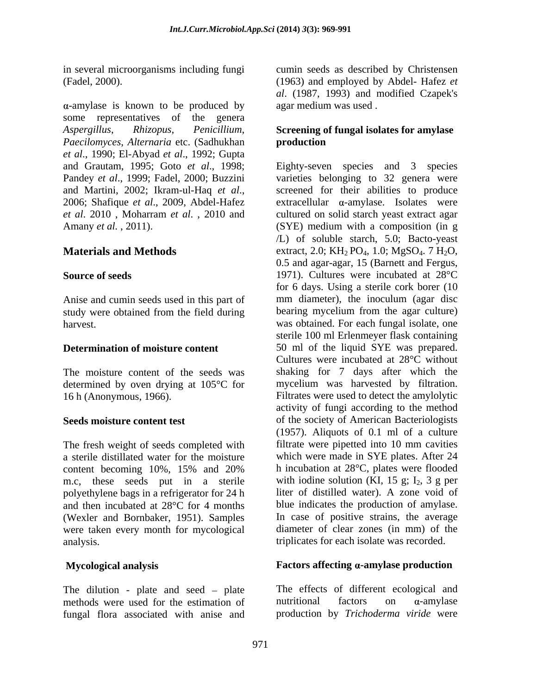$\alpha$ -amylase is known to be produced by some representatives of the genera *Aspergillus*, *Rhizopus*, *Penicillium*, *Paecilomyces*, *Alternaria* etc. (Sadhukhan *et al*., 1990; El-Abyad *et al*., 1992; Gupta and Grautam, 1995; Goto *et al*., 1998; Pandey *et al*., 1999; Fadel, 2000; Buzzini varieties belonging to 32 genera were and Martini, 2002; Ikram-ul-Haq *et al*., 2006; Shafique *et al*., 2009, Abdel-Hafez *et al*. 2010 , Moharram *et al*. , 2010 and cultured on solid starch yeast extract agar Amany *et al.*, 2011). (SYE) medium with a composition (in g

Anise and cumin seeds used in this part of study were obtained from the field during

determined by oven drying at 105°C for

The fresh weight of seeds completed with a sterile distillated water for the moisture m.c, these seeds put in a sterile polyethylene bags in a refrigerator for 24 h and then incubated at 28°C for 4 months (Wexler and Bornbaker, 1951). Samples were taken every month for mycological analysis. triplicates for each isolate was recorded.

The dilution - plate and seed  $-$  plate methods were used for the estimation of  $n$  nutritional factors on  $\alpha$ -amylase fungal flora associated with anise and

in several microorganisms including fungi cumin seeds as described by Christensen (Fadel, 2000). (1963) and employed by Abdel- Hafez *et al*. (1987, 1993) and modified Czapek's agar medium was used .

## **Screening of fungal isolates for amylase production**

**Materials and Methods** extract, 2.0;  $KH_2$  PO<sub>4</sub>, 1.0; MgSO<sub>4</sub>. 7 H<sub>2</sub>O, **Source of seeds** 1971). Cultures were incubated at 28<sup>°</sup>C harvest. **Example 20** isolate was obtained. For each fungal isolate, one **Determination of moisture content** 50 ml of the liquid SYE was prepared. The moisture content of the seeds was shaking for 7 days after which the 16 h (Anonymous, 1966). Filtrates were used to detect the amylolytic **Seeds moisture content test** of the society of American Bacteriologists content becoming 10%, 15% and 20% h incubation at 28<sup>o</sup>C, plates were flooded Eighty-seven species and 3 species screened for their abilities to produce  $extrac{ellular} \alpha$ -amylase. Isolates were /L) of soluble starch, 5.0; Bacto-yeast 0.5 and agar-agar, 15 (Barnett and Fergus, for 6 days. Using a sterile cork borer (10 mm diameter), the inoculum (agar disc bearing mycelium from the agar culture) sterile 100 ml Erlenmeyer flask containing Cultures were incubated at 28°C without mycelium was harvested by filtration. activity of fungi according to the method (1957). Aliquots of 0.1 ml of a culture filtrate were pipetted into 10 mm cavities which were made in SYE plates. After 24 h incubation at 28°C, plates were flooded with iodine solution (KI, 15 g;  $I_2$ , 3 g per liter of distilled water). A zone void of blue indicates the production of amylase. In case of positive strains, the average diameter of clear zones (in mm) of the

# **Mycological analysis Factors affecting** *a***-amylase production**

The effects of different ecological and nutritional factors on  $\alpha$ -amylase production by *Trichoderma viride* were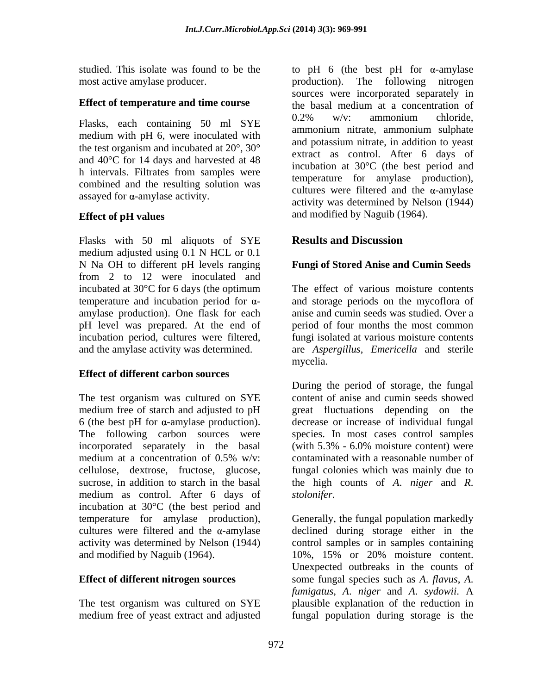most active amylase producer. The following nitrogen production. The following nitrogen

medium with pH 6, were inoculated with the test organism and incubated at 20°, 30° and 40°C for 14 days and harvested at 48 h intervals. Filtrates from samples were combined and the resulting solution was assayed for  $\alpha$ -amylase activity.

Flasks with 50 ml aliquots of SYE **Results and Discussion** medium adjusted using 0.1 N HCL or 0.1 N Na OH to different pH levels ranging from 2 to 12 were inoculated and temperature and incubation period for  $\alpha$ amylase production). One flask for each pH level was prepared. At the end of

# **Effect of different carbon sources**

6 (the best pH for  $\alpha$ -amylase production). incorporated separately in the basal (with 5.3% - 6.0% moisture content) were medium as control. After 6 days of *stolonifer*. incubation at 30°C (the best period and and modified by Naguib (1964). 10%, 15% or 20% moisture content.

studied. This isolate was found to be the  $\qquad$  to pH 6 (the best pH for  $\alpha$ -amylase **Effect of temperature and time course** the basal medium at a concentration of Flasks, each containing 50 ml SYE 0.2% w/v: ammonium chloride, **Effect of pH values** and modified by Naguib (1964). production). The following nitrogen sources were incorporated separately in the basal medium at a concentration of 0.2% w/v: ammonium chloride, ammonium nitrate, ammonium sulphate and potassium nitrate, in addition to yeast extract as control. After 6 days of incubation at 30°C (the best period and temperature for amylase production), cultures were filtered and the  $\alpha$ -amylase activity was determined by Nelson (1944)

# **Results and Discussion**

# **Fungi of Stored Anise and Cumin Seeds**

incubated at  $30^{\circ}$ C for 6 days (the optimum The effect of various moisture contents incubation period, cultures were filtered, fungi isolated at various moisture contents and the amylase activity was determined. are *Aspergillus*, *Emericella* and sterile The effect of various moisture contents and storage periods on the mycoflora of anise and cumin seeds was studied. Over a period of four months the most common mycelia.

The test organism was cultured on SYE content of anise and cumin seeds showed medium free of starch and adjusted to pH great fluctuations depending on the The following carbon sources were species. In most cases control samples medium at a concentration of 0.5% w/v: contaminated with a reasonable number of cellulose, dextrose, fructose, glucose, fungal colonies which was mainly due to sucrose, in addition to starch in the basal the high counts of *A*. *niger* and *R*. During the period of storage, the fungal decrease or increase of individual fungal (with 5.3% - 6.0% moisture content) were contaminated with a reasonable number of *stolonifer*.

temperature for amylase production), Generally, the fungal population markedly cultures were filtered and the  $\alpha$ -amylase declined during storage either in the activity was determined by Nelson (1944) control samples or in samples containing **Effect of different nitrogen sources** some fungal species such as *A*. *flavus*, *A*. The test organism was cultured on SYE plausible explanation of the reduction in medium free of yeast extract and adjusted fungal population during storage is the10%, 15% or 20% moisture content. Unexpected outbreaks in the counts of *fumigatus*, *A*. *niger* and *A*. *sydowii*. A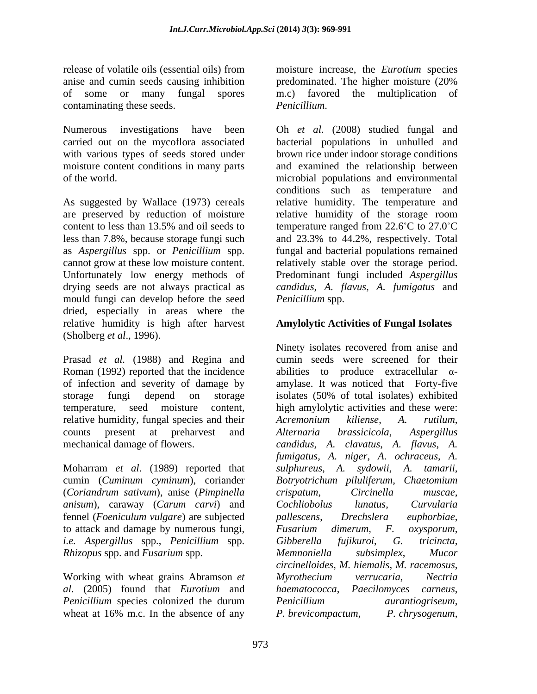anise and cumin seeds causing inhibition contaminating these seeds. Penicillium.

with various types of seeds stored under

mould fungi can develop before the seed dried, especially in areas where the relative humidity is high after harvest (Sholberg *et al*., 1996).

Prasad *et al.* (1988) and Regina and storage fungi depend on storage isolates (50% of total isolates) exhibited relative humidity, fungal species and their *Acremonium kiliense*, A. rutilum,

(*Coriandrum sativum*), anise (*Pimpinella anisum*), caraway (*Carum carvi*) and fennel (*Foeniculum vulgare*) are subjected to attack and damage by numerous fungi, Fusarium dimerum, F. oxysporum, *i.e. Aspergillus* spp., *Penicillium* spp. *Rhizopus* spp. and *Fusarium* spp.

Working with wheat grains Abramson *et Penicillium* species colonized the durum *Penicillium aurantiogriseum*, wheat at 16% m.c. In the absence of any *P. brevicompactum*, *P. chrysogenum*,

release of volatile oils (essential oils) from moisture increase, the *Eurotium* species of some or many fungal spores m.c) favored the multiplication of predominated. The higher moisture (20% *Penicillium*.

Numerous investigations have been Oh *et al.* (2008) studied fungal and carried out on the mycoflora associated bacterial populations in unhulled and moisture content conditions in many parts and examined the relationship between of the world. microbial populations and environmental As suggested by Wallace (1973) cereals relative humidity. The temperature and are preserved by reduction of moisture relative humidity of the storage room content to less than 13.5% and oil seeds to temperature ranged from  $22.6^{\circ}$ C to  $27.0^{\circ}$ C less than 7.8%, because storage fungi such and 23.3% to 44.2%, respectively. Total as *Aspergillus* spp. or *Penicillium* spp. fungal and bacterial populations remained cannot grow at these low moisture content. relatively stable over the storage period. Unfortunately low energy methods of Predominant fungi included *Aspergillus*  drying seeds are not always practical as *candidus*, *A. flavus*, *A. fumigatus* and brown rice under indoor storage conditions conditions such as temperature and temperature ranged from  $22.6^{\circ}$ C to  $27.0^{\circ}$ C *Penicillium* spp.

# **Amylolytic Activities of Fungal Isolates**

Roman (1992) reported that the incidence  $\qquad$  abilities to produce extracellular  $\alpha$ of infection and severity of damage by amylase. It was noticed that Forty-five temperature, seed moisture content, high amylolytic activities and these were: counts present at preharvest and Alternaria brassicicola, Aspergillus mechanical damage of flowers. *candidus, A. clavatus*, *A. flavus*, *A.*  Moharram *et al*. (1989) reported that *sulphureus*, *A. sydowii*, *A. tamarii*, cumin (*Cuminum cyminum*), coriander *Botryotrichum piluliferum*, *Chaetomium al*. (2005) found that *Eurotium* and *haematococca*, *Paecilomyces carneus*, Ninety isolates recovered from anise and cumin seeds were screened for their isolates (50% of total isolates) exhibited *Acremonium kiliense*, *A. rutilum*, *Alternaria brassicicola*, *Aspergillus fumigatus, A. niger, A. ochraceus*, *A. crispatum*, *Circinella muscae*, *Cochliobolus lunatus*, *Curvularia pallescens*, *Drechslera euphorbiae*, *Fusarium dimerum*, *F. oxysporum*, *Gibberella fujikuroi*, *G. tricincta*, *Memnoniella subsimplex*, *Mucor circinelloides*, *M. hiemalis*, *M. racemosus*, *Myrothecium verrucaria*, *Nectria Penicillium aurantiogriseum*, *P. brevicompactum*, *P. chrysogenum*,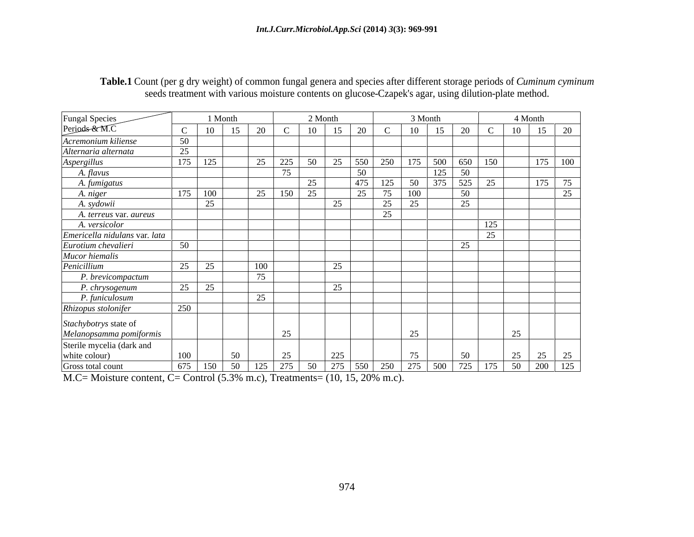| Table.1 Count (per g dry weight) of common fungal genera and species after different storage periods of <i>Cuminum cyminum</i> |  |
|--------------------------------------------------------------------------------------------------------------------------------|--|
| reatment with various moisture contents on glucose-Czapek's agar, using dilution-plate method.                                 |  |

|                                 |                                 | 1 Month  |          |                     | 2 Month          |                 | 3 Month         |             |                      | 4 Month                             |
|---------------------------------|---------------------------------|----------|----------|---------------------|------------------|-----------------|-----------------|-------------|----------------------|-------------------------------------|
| Fungal Species<br>Periods & M.C |                                 |          | 15<br>20 | 10                  |                  | 20              | 10              | 15          | 20                   | 15<br>20<br>10 <sup>1</sup>         |
| Acremonium kiliense             | 50                              |          |          |                     |                  |                 |                 |             |                      |                                     |
| Alternaria alternata            | 25                              |          |          |                     |                  |                 |                 |             |                      |                                     |
| Aspergillus                     | 175                             | 125      | 25       | 225<br>50           | $\cap$ $\subset$ | 250<br>1550     |                 | 175 500 650 | 150                  | 175<br>100                          |
| A. flavus                       |                                 |          |          | 75                  |                  | -50             |                 | $125 \,$ 50 |                      |                                     |
| A. fumigatus                    |                                 |          |          | 25                  |                  | 475 <br>125     |                 | 50 375 525  | 25                   | 175<br>75                           |
| A. niger                        | 175                             | 100      |          | 25   150<br>25      |                  | 75<br>$\bigcap$ | 100             |             | 50                   | 25                                  |
| A. sydowii                      |                                 | 25       |          |                     | $\cap$           | 25              | 25              |             | 25                   |                                     |
| A. terreus var. aureus          |                                 |          |          |                     |                  | 25              |                 |             |                      |                                     |
| A. versicolor                   |                                 |          |          |                     |                  |                 |                 |             |                      | 125                                 |
| Emericella nidulans var. lata   |                                 |          |          |                     |                  |                 |                 |             | $\cap \subset$       |                                     |
| Eurotium chevalieri             | 50                              |          |          |                     |                  |                 |                 |             | $\cap \subset$<br>4. |                                     |
| Mucor hiemalis                  |                                 |          |          |                     |                  |                 |                 |             |                      |                                     |
| Penicillium                     | 25                              | 25       | 100      |                     |                  |                 |                 |             |                      |                                     |
| P. brevicompactum               |                                 |          |          |                     |                  |                 |                 |             |                      |                                     |
| P. chrysogenum                  | $\Delta$ $\epsilon$<br>$\Delta$ | <u>L</u> |          |                     |                  |                 |                 |             |                      |                                     |
| P. funiculosum                  |                                 |          | $\cap$   |                     |                  |                 |                 |             |                      |                                     |
| Rhizopus stolonifer             | 250                             |          |          |                     |                  |                 |                 |             |                      |                                     |
| Stachybotrys state of           |                                 |          |          |                     |                  |                 |                 |             |                      |                                     |
| Melanopsamma pomiformis         |                                 |          |          | 25                  |                  |                 | 25              |             |                      | $\sim$                              |
| Sterile mycelia (dark and       |                                 |          |          |                     |                  |                 |                 |             |                      |                                     |
| white colour)                   | 100                             |          | 50       | 25                  | 225              |                 | 75              |             | 50                   | $\cap$<br>$\gamma$ $\epsilon$<br>25 |
| Gross total count               | 675                             | 150      |          | 50   125   275   50 | 275 550          |                 | 250 275 500 725 |             |                      | 175 50 200 125                      |
|                                 |                                 |          |          |                     |                  |                 |                 |             |                      |                                     |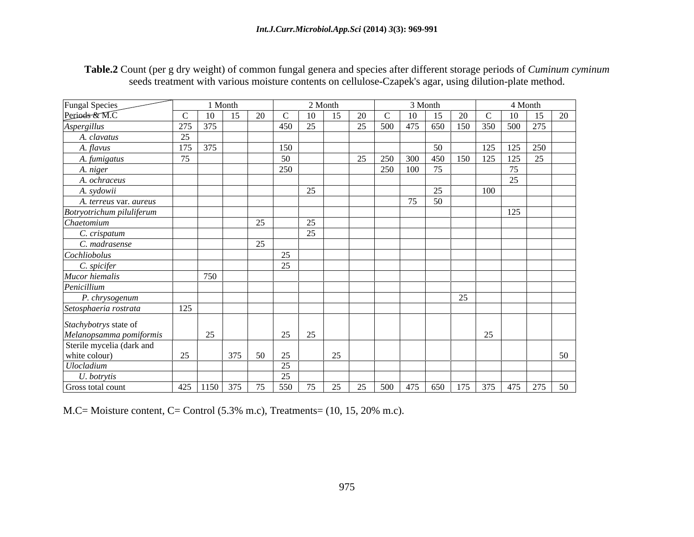| Fungal Species<br>Periods & M.C                                               |                  | 1 Month                                                                                   |        |     | 2 Month |    |     |         | 3 Month |                              |                     | 4 Month                                                                                   |                |
|-------------------------------------------------------------------------------|------------------|-------------------------------------------------------------------------------------------|--------|-----|---------|----|-----|---------|---------|------------------------------|---------------------|-------------------------------------------------------------------------------------------|----------------|
|                                                                               | $\mathcal{C}$    | -15<br>$10^{-}$                                                                           | 20     |     | 10 15   | 20 |     | 10      |         | 15 20                        |                     | $\begin{array}{ c c c c c }\n\hline\nC & 10 & 15 \\ \hline\n350 & 500 & 275\n\end{array}$ | $\frac{20}{ }$ |
| Aspergillus                                                                   | $\frac{275}{25}$ | 375                                                                                       |        | 450 | 25      | 25 |     |         |         | $\frac{10}{500}$ 475 650 150 |                     |                                                                                           |                |
| A. clavatus                                                                   |                  |                                                                                           |        |     |         |    |     |         |         |                              |                     |                                                                                           |                |
| A. flavus                                                                     | 175              | 375                                                                                       |        | 150 |         |    |     |         | 50      |                              |                     | 125 250                                                                                   |                |
| A. fumigatus                                                                  | 75               |                                                                                           |        | 50  |         | 25 | 250 | 300     |         | 450 150                      | $\frac{125}{125}$   | $125$ 25                                                                                  |                |
| A. niger                                                                      |                  |                                                                                           |        | 250 |         |    |     | 250 100 | 75      |                              |                     | 75                                                                                        |                |
| A. ochraceus                                                                  |                  |                                                                                           |        |     |         |    |     |         |         |                              |                     | 25                                                                                        |                |
| A. sydowii                                                                    |                  |                                                                                           |        |     | 25      |    |     |         | 25      |                              | 100                 |                                                                                           |                |
| A. terreus var. aureus                                                        |                  |                                                                                           |        |     |         |    |     | 75      | 50      |                              |                     |                                                                                           |                |
|                                                                               |                  |                                                                                           |        |     |         |    |     |         |         |                              |                     | 125                                                                                       |                |
| Botryotrichum piluliferum                                                     |                  |                                                                                           | 25     |     | 25      |    |     |         |         |                              |                     |                                                                                           |                |
| Chaetomium                                                                    |                  |                                                                                           |        |     | 25      |    |     |         |         |                              |                     |                                                                                           |                |
| C. crispatum                                                                  |                  |                                                                                           |        |     |         |    |     |         |         |                              |                     |                                                                                           |                |
| C. madrasense                                                                 |                  |                                                                                           | 25     |     |         |    |     |         |         |                              |                     |                                                                                           |                |
| Cochliobolus                                                                  |                  |                                                                                           |        | 25  |         |    |     |         |         |                              |                     |                                                                                           |                |
| C. spicifer                                                                   |                  |                                                                                           |        | 25  |         |    |     |         |         |                              |                     |                                                                                           |                |
| Mucor hiemalis                                                                |                  | 750                                                                                       |        |     |         |    |     |         |         |                              |                     |                                                                                           |                |
| Penicillium                                                                   |                  |                                                                                           |        |     |         |    |     |         |         |                              |                     |                                                                                           |                |
| P. chrysogenum                                                                |                  |                                                                                           |        |     |         |    |     |         |         | 25                           |                     |                                                                                           |                |
| Setosphaeria rostrata                                                         | 125              |                                                                                           |        |     |         |    |     |         |         |                              |                     |                                                                                           |                |
|                                                                               |                  |                                                                                           |        |     |         |    |     |         |         |                              |                     |                                                                                           |                |
|                                                                               |                  |                                                                                           |        | 25  | 25      |    |     |         |         |                              | $\Delta$ $\epsilon$ |                                                                                           |                |
| Stachybotrys state of<br>Melanopsamma pomiformis<br>Sterile mycelia (dark and |                  | 25                                                                                        |        |     |         |    |     |         |         |                              |                     |                                                                                           |                |
|                                                                               | 25               |                                                                                           |        |     |         |    |     |         |         |                              |                     |                                                                                           |                |
| white colour)                                                                 |                  |                                                                                           | 375 50 | 25  | 25      |    |     |         |         |                              |                     |                                                                                           | 50             |
| Ulocladium                                                                    |                  |                                                                                           |        | 25  |         |    |     |         |         |                              |                     |                                                                                           |                |
| U. botrytis                                                                   |                  |                                                                                           |        | 25  |         |    |     |         |         |                              |                     |                                                                                           |                |
| Gross total count                                                             |                  | 425   1150   375   75   550   75   25   25   500   475   650   175   375   475   275   50 |        |     |         |    |     |         |         |                              |                     |                                                                                           |                |

**Table.2** Count (per g dry weight) of common fungal genera and species after different storage periods of *Cuminum cyminum* seeds treatment with various moisture contents on cellulose-Czapek's agar, using dilution-plate method.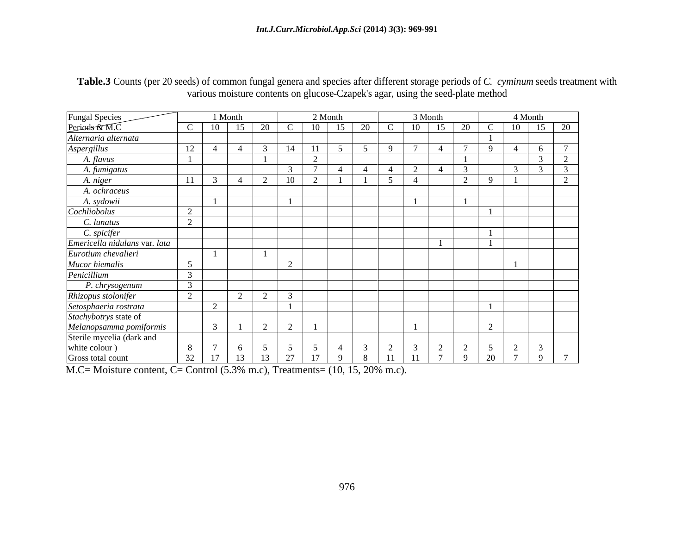| Table.3 Counts (per 20 seeds) of common fungal genera and<br>$\rightarrow$ and species after different storage periods of C. cy.<br>C. <i>cyminum</i> seeds treatment with |
|----------------------------------------------------------------------------------------------------------------------------------------------------------------------------|
| sture contents on glucose-Czapek's agar, using the seed-plate method                                                                                                       |

|                                                                                                        |             | 1 Month |               |       |                  | 2 Month |          |    |                  | 3 Month |                |                                      |                      | 4 Month |                |
|--------------------------------------------------------------------------------------------------------|-------------|---------|---------------|-------|------------------|---------|----------|----|------------------|---------|----------------|--------------------------------------|----------------------|---------|----------------|
| Fungal Species<br>Periods & M.C                                                                        |             | -10     |               |       |                  |         |          | 20 |                  | 10      | 15             | 20                                   |                      | 10      | 20             |
| Alternaria alternata                                                                                   |             |         |               |       |                  |         |          |    |                  |         |                |                                      |                      |         |                |
| <b>Aspergillus</b>                                                                                     | $\sqrt{10}$ |         | $\rightarrow$ |       |                  |         |          |    | $\mathbf{Q}$     |         | $\overline{4}$ |                                      |                      |         | $\overline{ }$ |
| A. flavus                                                                                              |             |         |               |       |                  | $\sim$  |          |    |                  |         |                |                                      |                      |         | $\sim$         |
| A. fumigatus                                                                                           |             |         |               |       |                  |         |          | -4 | $\left  \right $ |         |                |                                      |                      |         |                |
| A. niger                                                                                               |             |         |               |       |                  |         |          |    |                  |         |                |                                      |                      |         |                |
| A. ochraceus                                                                                           |             |         |               |       |                  |         |          |    |                  |         |                |                                      |                      |         |                |
|                                                                                                        |             |         |               |       |                  |         |          |    |                  |         |                |                                      |                      |         |                |
| A. sydowii                                                                                             | $\sim$      |         |               |       |                  |         |          |    |                  |         |                |                                      |                      |         |                |
| C. lunatus                                                                                             |             |         |               |       |                  |         |          |    |                  |         |                |                                      |                      |         |                |
| C. spicifer                                                                                            |             |         |               |       |                  |         |          |    |                  |         |                |                                      |                      |         |                |
| Emericella nidulans var. lata                                                                          |             |         |               |       |                  |         |          |    |                  |         |                |                                      |                      |         |                |
| Eurotium chevalieri                                                                                    |             |         |               |       |                  |         |          |    |                  |         |                |                                      |                      |         |                |
| Mucor hiemalis                                                                                         |             |         |               |       | $\sim$<br>$\sim$ |         |          |    |                  |         |                |                                      |                      |         |                |
| Penicillium                                                                                            |             |         |               |       |                  |         |          |    |                  |         |                |                                      |                      |         |                |
| P. chrysogenum                                                                                         |             |         |               |       |                  |         |          |    |                  |         |                |                                      |                      |         |                |
| Rhizopus stolonifer                                                                                    |             |         |               |       |                  |         |          |    |                  |         |                |                                      |                      |         |                |
| Setosphaeria rostrata<br>Stachybotrys state of<br>Melanopsamma pomiformis<br>Sterile mycelia (dark and |             | $\sim$  |               |       |                  |         |          |    |                  |         |                |                                      |                      |         |                |
|                                                                                                        |             |         |               |       |                  |         |          |    |                  |         |                |                                      |                      |         |                |
|                                                                                                        |             |         | $-1$          |       | $\sim$           |         |          |    |                  |         |                |                                      |                      |         |                |
|                                                                                                        |             |         |               |       |                  |         |          |    |                  |         |                |                                      |                      |         |                |
| white colour )                                                                                         |             |         |               |       |                  |         |          |    | $\sim$           |         | $\sim$         | $\gamma$<br>$\overline{\phantom{a}}$ | $\leq$<br>$\sqrt{ }$ |         |                |
| Gross total count                                                                                      | 32   17     |         | 13            | 13 27 |                  | 17      | $\alpha$ | 8  | $11 \t 11$       |         |                | 791                                  |                      | 20 7 9  | $\overline{ }$ |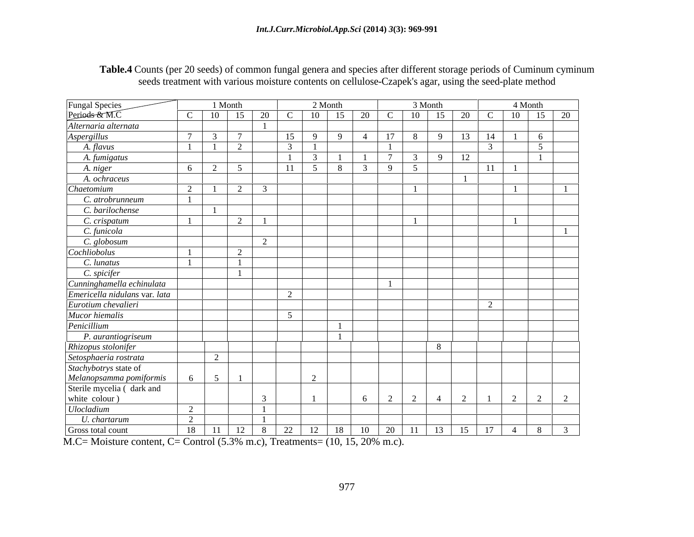| Table.4 Counts (per 20 seeds) of common fungal genera and species after different storage periods of Cuminum cyminum |  |
|----------------------------------------------------------------------------------------------------------------------|--|
| seeds treatment with various moisture contents on cellulose-Czapek's agar, using the seed-plate method               |  |

| Fungal Species<br>Periods & M.C                                                                            |                            | 1 Month         |          |               | 2 Month       |                                                        |                |                  | 3 Month                                                |                                                               | 4 Month          |
|------------------------------------------------------------------------------------------------------------|----------------------------|-----------------|----------|---------------|---------------|--------------------------------------------------------|----------------|------------------|--------------------------------------------------------|---------------------------------------------------------------|------------------|
|                                                                                                            |                            |                 |          |               |               | C   10   15   20   C   10   15   20   C   10   15   20 |                |                  |                                                        | $\mathbf C$                                                   | $10 \t 15 \t 20$ |
| Alternaria alternata                                                                                       |                            |                 |          |               |               |                                                        |                |                  |                                                        |                                                               |                  |
| Aspergillus                                                                                                |                            | $7\phantom{.0}$ |          | 15            | Q             | -4                                                     | 17             | - 8              | $\overline{q}$                                         | 13<br>14                                                      | 6                |
| A. flavus                                                                                                  |                            |                 | $\gamma$ | $\mathcal{R}$ |               |                                                        |                |                  |                                                        |                                                               | $\sim$           |
| A. fumigatus                                                                                               |                            |                 |          | $\sim$ 1      | $\mathcal{R}$ |                                                        |                | $7 \overline{3}$ | $\begin{array}{ c c c c c } \hline \end{array}$ 9   12 |                                                               |                  |
| A. niger                                                                                                   | - 6                        | 2<br>-5         |          | 11            | $\sim$ 5      | - 8                                                    | 9 <sup>1</sup> |                  |                                                        | <sup>11</sup>                                                 |                  |
| A. ochraceus                                                                                               |                            |                 |          |               |               |                                                        |                |                  |                                                        |                                                               |                  |
| Chaetomium                                                                                                 | $\gamma$                   | 2               |          |               |               |                                                        |                |                  |                                                        |                                                               |                  |
| C. atrobrunneum                                                                                            |                            |                 |          |               |               |                                                        |                |                  |                                                        |                                                               |                  |
| C. barilochense                                                                                            |                            |                 |          |               |               |                                                        |                |                  |                                                        |                                                               |                  |
| C. crispatum                                                                                               |                            |                 | 2        |               |               |                                                        |                |                  |                                                        |                                                               |                  |
| C. funicola                                                                                                |                            |                 |          |               |               |                                                        |                |                  |                                                        |                                                               |                  |
| C. globosum                                                                                                |                            |                 |          |               |               |                                                        |                |                  |                                                        |                                                               |                  |
| Cochliobolus                                                                                               |                            |                 | 2        |               |               |                                                        |                |                  |                                                        |                                                               |                  |
| C. lunatus                                                                                                 |                            |                 |          |               |               |                                                        |                |                  |                                                        |                                                               |                  |
| C. spicifer                                                                                                |                            |                 |          |               |               |                                                        |                |                  |                                                        |                                                               |                  |
| Cunninghamella echinulata                                                                                  |                            |                 |          |               |               |                                                        |                |                  |                                                        |                                                               |                  |
| Emericella nidulans var. lata                                                                              |                            |                 |          | 2             |               |                                                        |                |                  |                                                        |                                                               |                  |
| Eurotium chevalieri                                                                                        |                            |                 |          |               |               |                                                        |                |                  |                                                        | $\sqrt{2}$                                                    |                  |
| Mucor hiemalis                                                                                             |                            |                 |          | $\sim$        |               |                                                        |                |                  |                                                        |                                                               |                  |
| Penicillium                                                                                                |                            |                 |          |               |               |                                                        |                |                  |                                                        |                                                               |                  |
| P. aurantiogriseum                                                                                         |                            |                 |          |               |               |                                                        |                |                  |                                                        |                                                               |                  |
|                                                                                                            |                            |                 |          |               |               |                                                        |                |                  | 8 <sup>2</sup>                                         |                                                               |                  |
| Rhizopus stolonifer<br>Setosphaeria rostrata                                                               |                            | 2               |          |               |               |                                                        |                |                  |                                                        |                                                               |                  |
| Stachybotrys state of                                                                                      |                            |                 |          |               |               |                                                        |                |                  |                                                        |                                                               |                  |
| Melanopsamma pomiformis                                                                                    |                            |                 |          |               |               |                                                        |                |                  |                                                        |                                                               |                  |
| Sterile mycelia (dark and                                                                                  |                            |                 |          |               |               |                                                        |                |                  |                                                        |                                                               |                  |
|                                                                                                            |                            |                 |          |               |               |                                                        | $\sim$<br>_ რ  | $\bigcap$        | 4                                                      | $\bigcap$                                                     |                  |
| white colour)<br>Ulocladium                                                                                | $\bigcap$<br>$\mathcal{L}$ |                 |          |               |               |                                                        |                |                  |                                                        |                                                               |                  |
| U. chartarum                                                                                               | $\gamma$                   |                 |          |               |               |                                                        |                |                  |                                                        |                                                               |                  |
| Gross total count                                                                                          |                            |                 |          |               |               |                                                        |                |                  |                                                        | 18   11   12   8   22   12   18   10   20   11   13   15   17 | $4 \mid 8 \mid$  |
| $\sqrt{a}$<br>$\sqrt{9.8}$ $\sqrt{2.8}$ $\sqrt{1.5}$ $\sqrt{2.8}$ $\sqrt{9.1}$ $\sqrt{10.15}$ $\sqrt{2.8}$ |                            |                 |          |               |               |                                                        |                |                  |                                                        |                                                               |                  |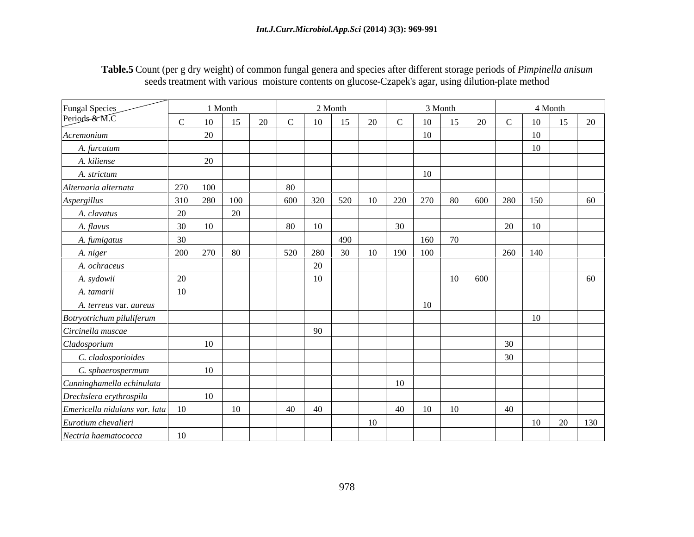| Table.5 Count (per g dry weight) of common fungal genera and species after different storage periods of <i>Pimpinella anisum</i> |  |  |
|----------------------------------------------------------------------------------------------------------------------------------|--|--|
| seeds treatment with various moisture contents on glucose-Czapek's agar, using dilution-plate method                             |  |  |

|                                                                   |         | 1 Month       |          |     | 2 Month         |                         |                 |                | 3 Month                      |     | 4 Month         |           |
|-------------------------------------------------------------------|---------|---------------|----------|-----|-----------------|-------------------------|-----------------|----------------|------------------------------|-----|-----------------|-----------|
| Fungal Species<br>Periods & M.C                                   |         | 10            | $\Omega$ |     | 10 <sup>1</sup> | $\epsilon$<br>$\bigcap$ |                 | 1 <sub>0</sub> | $\mathbf{r}$<br>$20^{\circ}$ |     | 10              | 20<br>15  |
| Acremonium                                                        |         | 20            |          |     |                 |                         |                 | 10             |                              |     | 10 <sup>1</sup> |           |
| A. furcatum                                                       |         |               |          |     |                 |                         |                 |                |                              |     | 10 <sup>1</sup> |           |
| A. kiliense                                                       |         | 20            |          |     |                 |                         |                 |                |                              |     |                 |           |
| A. strictum                                                       |         |               |          |     |                 |                         |                 | 1 <sub>0</sub> |                              |     |                 |           |
| Alternaria alternata                                              | 270 100 |               |          | 80  |                 |                         |                 |                |                              |     |                 |           |
| Aspergillus                                                       | 310     | 280           | 100      | 600 | 320             | 520<br>-10              | 220             | 270            | 80<br>600                    | 280 | 150             | 60        |
| A. clavatus                                                       | 20      | 20            |          |     |                 |                         |                 |                |                              |     |                 |           |
| A. flavus                                                         | 30      | - 10          |          | 80  | 10              |                         | 30 <sup>1</sup> |                |                              | 20  | 10              |           |
| A. fumigatus                                                      | 30      |               |          |     |                 | 490                     |                 | 160            | 70                           |     |                 |           |
| A. niger                                                          | 200 270 | 80            |          | 520 | 280             | 30 <sup>7</sup><br>10   | 190             | 100            |                              |     | 260 140         |           |
| A. ochraceus                                                      |         |               |          |     | $\Omega$        |                         |                 |                |                              |     |                 |           |
| A. sydowii                                                        | 20      |               |          |     | 10              |                         |                 |                | $10 \mid 600$                |     |                 | 60        |
| A. tamarii                                                        | 10      |               |          |     |                 |                         |                 |                |                              |     |                 |           |
| A. terreus var. aureus                                            |         |               |          |     |                 |                         |                 | 10             |                              |     |                 |           |
|                                                                   |         |               |          |     |                 |                         |                 |                |                              |     | 10 <sup>1</sup> |           |
| Botryotrichum piluliferum                                         |         |               |          |     | -90             |                         |                 |                |                              |     |                 |           |
| Circinella muscae                                                 |         | <sup>10</sup> |          |     |                 |                         |                 |                |                              | 30  |                 |           |
| Cladosporium                                                      |         |               |          |     |                 |                         |                 |                |                              | 30  |                 |           |
| C. cladosporioides                                                |         |               |          |     |                 |                         |                 |                |                              |     |                 |           |
| C. sphaerospermum                                                 |         | 10            |          |     |                 |                         |                 |                |                              |     |                 |           |
| Cunninghamella echinulata                                         |         |               |          |     |                 |                         | 1 <sub>0</sub>  |                |                              |     |                 |           |
| Drechslera erythrospila                                           |         | 10            |          |     |                 |                         |                 |                |                              |     |                 |           |
| $\left $ <i>Emericella nidulans var. lata</i> $\left  10 \right $ |         | 10            |          | 40  | 40              |                         | 40              |                | 10                           | 40  |                 |           |
| Eurotium chevalieri                                               |         |               |          |     |                 | 10                      |                 |                |                              |     | 10              | 130<br>20 |
| Nectria haematococca                                              | 10      |               |          |     |                 |                         |                 |                |                              |     |                 |           |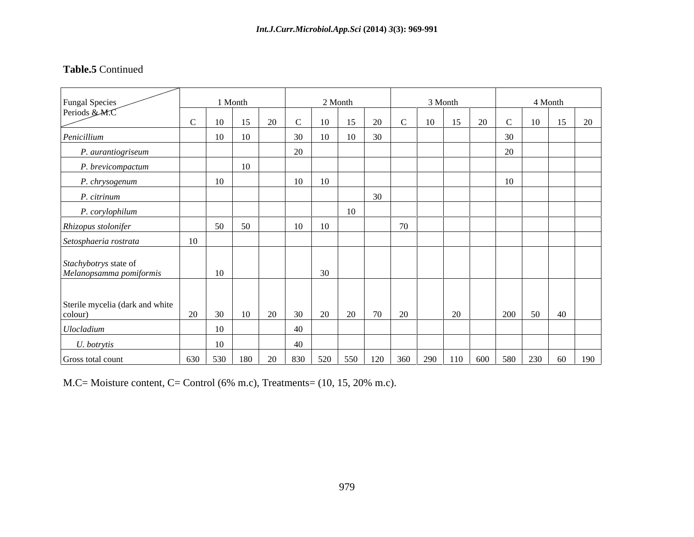## **Table.5** Continued

| Fungal Species<br>Periods & M.C                  |                 | 1 Month         |        |          |                      | 2 Month |                 |    | 3 Month |                                                                                             |     | 4 Month |              |  |
|--------------------------------------------------|-----------------|-----------------|--------|----------|----------------------|---------|-----------------|----|---------|---------------------------------------------------------------------------------------------|-----|---------|--------------|--|
|                                                  | $\mathcal{C}$   | 10              |        | 20       | 10                   | 15      | 20              |    | 10      | 15<br>20                                                                                    |     | 10      | $15 \mid 20$ |  |
| Penicillium                                      |                 | 10              | 10     |          | $\frac{30}{5}$<br>10 | 10      | 30              |    |         |                                                                                             |     |         |              |  |
| P. aurantiogriseum                               |                 |                 |        | 20       |                      |         |                 |    |         |                                                                                             | 20  |         |              |  |
| P. brevicompactum                                |                 |                 | 10     |          |                      |         |                 |    |         |                                                                                             |     |         |              |  |
| P. chrysogenum                                   |                 | 10              |        |          | 10<br>10             |         |                 |    |         |                                                                                             | 10  |         |              |  |
| P. citrinum                                      |                 |                 |        |          |                      |         | $\overline{20}$ |    |         |                                                                                             |     |         |              |  |
| P. corylophilum                                  |                 |                 |        |          |                      | 10      |                 |    |         |                                                                                             |     |         |              |  |
| Rhizopus stolonifer                              |                 | 50              | $50 -$ |          | 10<br>10             |         |                 | 70 |         |                                                                                             |     |         |              |  |
| Setosphaeria rostrata                            | 10 <sup>1</sup> |                 |        |          |                      |         |                 |    |         |                                                                                             |     |         |              |  |
|                                                  |                 |                 |        |          |                      |         |                 |    |         |                                                                                             |     |         |              |  |
| Stachybotrys state of<br>Melanopsamma pomiformis |                 | 10              |        |          | 30 <sup>2</sup>      |         |                 |    |         |                                                                                             |     |         |              |  |
|                                                  |                 |                 |        |          |                      |         |                 |    |         |                                                                                             |     |         |              |  |
| Sterile mycelia (dark and white<br>colour)       | 20              | 30              | 10     | 20 30 20 |                      | 20      | 70              | 20 |         | 20                                                                                          | 200 | 50      | 40           |  |
| <b>Ulocladium</b>                                |                 | 10 <sup>1</sup> |        | 40       |                      |         |                 |    |         |                                                                                             |     |         |              |  |
| U. botrytis                                      |                 | 10              |        | 40       |                      |         |                 |    |         |                                                                                             |     |         |              |  |
| Gross total count                                |                 |                 |        |          |                      |         |                 |    |         | 630   530   180   20   830   520   550   120   360   290   110   600   580   230   60   190 |     |         |              |  |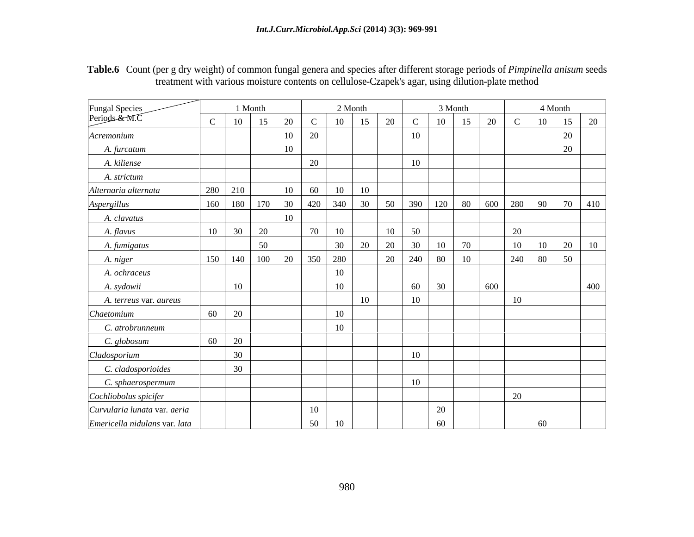| Table.6 Co<br>It storage periods of <i>Pimpinella anisum</i> seeds<br>weight) of common fungal genera and species after different s<br>to the g dry we<br>. 011 |
|-----------------------------------------------------------------------------------------------------------------------------------------------------------------|
| n cellulose-Czapek's agar, using dilution-plate method<br>$\sim$ and contents on $C^{\text{all}}$<br>Lut with various moisture $\gamma$                         |

|                                 |                       | 1 Month |                 |                           | 2 Month         |              | 3 Month    |            |     | 4 Month |                      |
|---------------------------------|-----------------------|---------|-----------------|---------------------------|-----------------|--------------|------------|------------|-----|---------|----------------------|
| Fungal Species<br>Periods & M.C | 10                    | 15      | 20              | 10<br>$\mathcal{C}$       | 15              | 20           | 10         | 15<br>20   | - C | 10      | 15<br>- 20           |
| Acremonium                      |                       |         | 10              | 20                        |                 | 10           |            |            |     |         | 20                   |
| A. furcatum                     |                       |         | 10              |                           |                 |              |            |            |     |         | 20                   |
| A. kiliense                     |                       |         |                 | 20                        |                 | 10           |            |            |     |         |                      |
| A. strictum                     |                       |         |                 |                           |                 |              |            |            |     |         |                      |
| Alternaria alternata            | 280                   | 210     | 10              | 10<br>60                  | - 10            |              |            |            |     |         |                      |
| Aspergillus                     | 160<br>180            | 170     |                 | 340<br>$30 \mid 420 \mid$ | 30              | 50<br>390    |            | 120 80 600 | 280 |         | 90 70 410            |
| A. clavatus                     |                       |         | 10 <sup>1</sup> |                           |                 |              |            |            |     |         |                      |
| A. flavus                       | 10<br>30 <sup>7</sup> | 20      |                 | 10<br>70                  |                 | 10<br>50     |            |            | 20  |         |                      |
| A. fumigatus                    |                       | 50      |                 | 30                        | 20              | 20<br>30     | 10         | 70         | 10  | 10      | 20<br>$\vert$ 10     |
| A. niger                        | $150$ 140             |         | 100 20          | 280<br>350                |                 | 20<br>240    | 80         | 10         | 240 | 80      | 50                   |
| A. ochraceus                    |                       |         |                 | 10                        |                 |              |            |            |     |         |                      |
| A. sydowii                      | 10                    |         |                 | 10                        |                 | 60<br>$\sim$ | $\vert$ 30 | 600        |     |         | 400<br>$\sim$ $\sim$ |
| A. terreus var. aureus          |                       |         |                 |                           | 10 <sup>1</sup> | 10           |            |            | 10  |         |                      |
| Chaetomium                      | 60<br>20              |         |                 | 10                        |                 |              |            |            |     |         |                      |
| C. atrobrunneum                 |                       |         |                 | 10                        |                 |              |            |            |     |         |                      |
| C. globosum                     | 60<br>20              |         |                 |                           |                 |              |            |            |     |         |                      |
| Cladosporium                    | 30 <sup>2</sup>       |         |                 |                           |                 | 10           |            |            |     |         |                      |
| C. cladosporioides              | 30 <sup>2</sup>       |         |                 |                           |                 |              |            |            |     |         |                      |
| C. sphaerospermum               |                       |         |                 |                           |                 | 10           |            |            |     |         |                      |
| Cochliobolus spicifer           |                       |         |                 |                           |                 |              |            |            | 20  |         |                      |
| Curvularia lunata var. aeria    |                       |         |                 | 10 <sup>1</sup>           |                 |              | 20         |            |     |         |                      |
| Emericella nidulans var. lata   |                       |         |                 | 50<br>10 <sup>1</sup>     |                 |              | 60         |            |     | 60      |                      |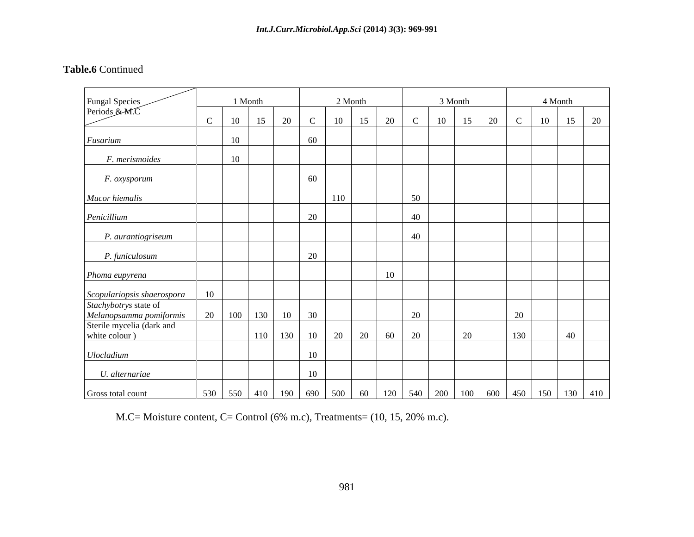### **Table.6** Continued

| Fungal Species<br>Periods & M.C                                                                                              |    | 1 Month |      |    |     | 2 Month       |                       |                                                        | 3 Month  |    |              | 4 Month                                                                                      |         |
|------------------------------------------------------------------------------------------------------------------------------|----|---------|------|----|-----|---------------|-----------------------|--------------------------------------------------------|----------|----|--------------|----------------------------------------------------------------------------------------------|---------|
|                                                                                                                              | 10 | 15      | 20 C |    |     | $10 \quad 15$ | 20                    | $+$ $+$ $C$ $+$                                        | 10<br>15 | 20 | $\mathbf{C}$ | $\boxed{10}$                                                                                 | $15$ 20 |
| Fusarium                                                                                                                     | 10 |         |      | 60 |     |               |                       |                                                        |          |    |              |                                                                                              |         |
| F. merismoides                                                                                                               | 10 |         |      |    |     |               |                       |                                                        |          |    |              |                                                                                              |         |
| F. oxysporum                                                                                                                 |    |         |      | 60 |     |               |                       |                                                        |          |    |              |                                                                                              |         |
| Mucor hiemalis                                                                                                               |    |         |      |    | 110 |               |                       | 50                                                     |          |    |              |                                                                                              |         |
| Penicillium                                                                                                                  |    |         |      | 20 |     |               |                       | 40                                                     |          |    |              |                                                                                              |         |
| P. aurantiogriseum                                                                                                           |    |         |      |    |     |               |                       | 40                                                     |          |    |              |                                                                                              |         |
| P. funiculosum                                                                                                               |    |         |      | 20 |     |               |                       |                                                        |          |    |              |                                                                                              |         |
| Phoma eupyrena                                                                                                               |    |         |      |    |     |               | 10                    |                                                        |          |    |              |                                                                                              |         |
|                                                                                                                              |    |         |      |    |     |               |                       |                                                        |          |    |              |                                                                                              |         |
|                                                                                                                              |    |         |      |    |     |               |                       | 20                                                     |          |    | 20           |                                                                                              |         |
| Scopulariopsis shaerospora<br>Stachybotrys state of<br>Melanopsamma pomiformis<br>Sterile mycelia (dark and<br>white colour) |    |         |      |    |     |               | $110$ 130 10 20 20 60 | $\begin{array}{ c c } \hline 20 \\ \hline \end{array}$ | 20       |    | 130          |                                                                                              | 40      |
| Ulocladium                                                                                                                   |    |         |      | 10 |     |               |                       |                                                        |          |    |              |                                                                                              |         |
| U. alternariae                                                                                                               |    |         |      | 10 |     |               |                       |                                                        |          |    |              |                                                                                              |         |
| Gross total count                                                                                                            |    |         |      |    |     |               |                       |                                                        |          |    |              | 530   550   410   190   690   500   60   120   540   200   100   600   450   150   130   410 |         |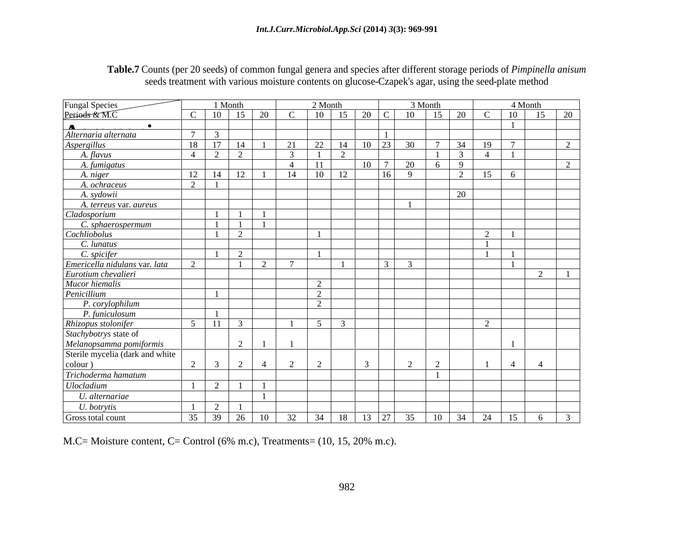| <b>Table.7</b> Counts (per 20 seeds) of common fr<br>angal genera and species after different storage periods of $Pimr$<br>يامح مرددا محمومه |  |  |
|----------------------------------------------------------------------------------------------------------------------------------------------|--|--|
| eatment with various moisture contents on glucose-Czapek's agar, us<br>using the seed-plate r<br>.046c<br>seeds tree<br>memoa                |  |  |

|                                                            |                | 1 Month        |                                                                      |                |          | 2 Month       |                             |                | 3 Month      |              |            | 4 Month                                                                |
|------------------------------------------------------------|----------------|----------------|----------------------------------------------------------------------|----------------|----------|---------------|-----------------------------|----------------|--------------|--------------|------------|------------------------------------------------------------------------|
| Fungal Species<br>Periods & M.C                            | $\mathcal{C}$  | $10 \mid 15$   | 20 l                                                                 |                |          |               | $10 \mid 15 \mid 20 \mid C$ |                | 10           | 15 20        |            | $10\quad 15$<br>$\begin{array}{ c c } \hline 20 \\ \hline \end{array}$ |
| <u>__</u>                                                  |                |                |                                                                      |                |          |               |                             |                |              |              |            |                                                                        |
| Alternaria alternata                                       | $\overline{7}$ |                |                                                                      |                |          |               |                             |                |              |              |            |                                                                        |
| <b>Aspergillus</b>                                         | 18             | 17             | - 14                                                                 | 21             | 22       | 14            | 10 <sup>1</sup>             | 22             | 30 I         | 34           | -19        |                                                                        |
| A. flavus                                                  |                |                |                                                                      |                |          |               |                             |                |              |              |            |                                                                        |
| A. fumigatus                                               |                |                |                                                                      | $\overline{4}$ | 11       |               | 10 <sup>1</sup>             | $\overline{a}$ | $20^{\circ}$ | $\mathbf{Q}$ |            |                                                                        |
| A. niger                                                   |                | -14            |                                                                      | 14             | 10       | 12            |                             |                |              |              |            |                                                                        |
| A. ochraceus                                               |                |                |                                                                      |                |          |               |                             |                |              |              |            |                                                                        |
| A. sydowii                                                 |                |                |                                                                      |                |          |               |                             |                |              | 20           |            |                                                                        |
| A. terreus var. aureus                                     |                |                |                                                                      |                |          |               |                             |                |              |              |            |                                                                        |
| Cladosporium                                               |                | $\blacksquare$ |                                                                      |                |          |               |                             |                |              |              |            |                                                                        |
| C. sphaerospermum                                          |                | $\overline{1}$ | $\overline{1}$                                                       |                |          |               |                             |                |              |              |            |                                                                        |
| Cochliobolus                                               |                |                |                                                                      |                |          |               |                             |                |              |              |            |                                                                        |
| C. lunatus                                                 |                |                |                                                                      |                |          |               |                             |                |              |              |            |                                                                        |
| C. spicifer                                                |                |                |                                                                      |                |          |               |                             |                |              |              |            |                                                                        |
| Emericella nidulans var. lata                              |                |                |                                                                      |                |          |               |                             |                |              |              |            |                                                                        |
| Eurotium chevalieri                                        |                |                |                                                                      |                |          |               |                             |                |              |              |            | $\overline{1}$                                                         |
|                                                            |                |                |                                                                      |                |          |               |                             |                |              |              |            |                                                                        |
| Mucor hiemalis<br>Penicillium                              |                |                |                                                                      |                | $\sim$   |               |                             |                |              |              |            |                                                                        |
| P. corylophilum                                            |                |                |                                                                      |                |          |               |                             |                |              |              |            |                                                                        |
| P. funiculosum                                             |                |                |                                                                      |                |          |               |                             |                |              |              |            |                                                                        |
|                                                            | 5 <sup>1</sup> | 11             |                                                                      |                | $\sim$ 5 | $\mathcal{R}$ |                             |                |              |              | $\sqrt{ }$ |                                                                        |
| Rhizopus stolonifer<br>Stachybotrys state of               |                |                |                                                                      |                |          |               |                             |                |              |              |            |                                                                        |
|                                                            |                |                |                                                                      |                |          |               |                             |                |              |              |            |                                                                        |
| Melanopsamma pomiformis<br>Sterile mycelia (dark and white |                |                |                                                                      |                |          |               |                             |                |              |              |            |                                                                        |
| colour)                                                    |                |                |                                                                      |                |          |               |                             |                |              |              |            |                                                                        |
| Trichoderma hamatum                                        |                |                |                                                                      |                |          |               |                             |                |              |              |            |                                                                        |
| Ulocladium                                                 |                |                |                                                                      |                |          |               |                             |                |              |              |            |                                                                        |
| U. alternariae                                             |                |                |                                                                      |                |          |               |                             |                |              |              |            |                                                                        |
|                                                            |                |                |                                                                      |                |          |               |                             |                |              |              |            |                                                                        |
| U. botrytis                                                |                |                |                                                                      |                |          |               |                             |                |              |              |            |                                                                        |
| Gross total count                                          |                |                | $35 \mid 39 \mid 26 \mid 10 \mid 32 \mid 34 \mid 18 \mid 13 \mid 27$ |                |          |               |                             |                | 35   10   34 |              | 24         | $15 \quad 6$<br>$\mathcal{R}$                                          |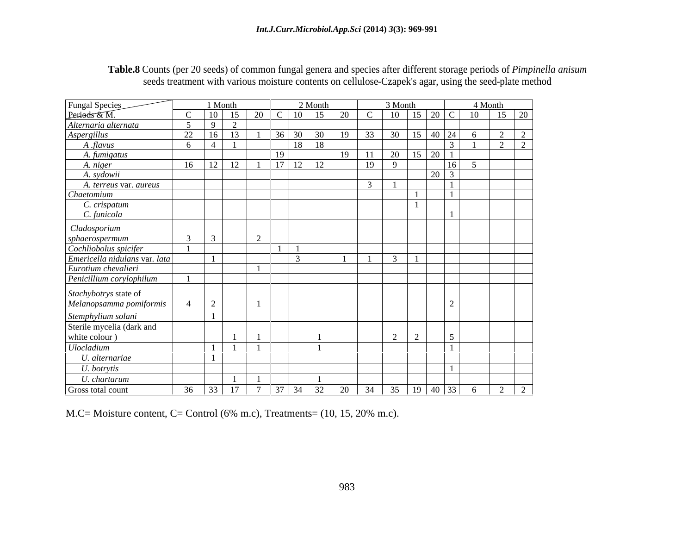| Table.8 Coun<br>$\sim$ $\sim$<br>genera and species after different storage periods of <i>Pim</i><br>The top $(20 \text{ seeds})$ of c<br>$\sim$ $\sim$ $\sim$ $\sim$ $\sim$ $\sim$<br>u unisur |  |  |
|-------------------------------------------------------------------------------------------------------------------------------------------------------------------------------------------------|--|--|
| $\sim$ reatment with various moisture contents on cellulose-Czapek's agar $\sim$<br>ing the seed-plate method                                                                                   |  |  |

|                                |               | 1 Month        |            |    |      | 2 Month      | 3 Month                                       |                                 | 4 Month                           |
|--------------------------------|---------------|----------------|------------|----|------|--------------|-----------------------------------------------|---------------------------------|-----------------------------------|
| Fungal Species<br>Periods & M. |               |                |            | 20 |      | $10 \mid 15$ | 20<br>15 <sup>1</sup><br>10                   | $20 \, \text{C}$                | 10<br>15 20                       |
| Alternaria alternata           |               |                | $\sqrt{ }$ |    |      |              |                                               |                                 |                                   |
| Aspergillus                    | 22            |                |            |    |      |              | $36 \mid 30 \mid 30 \mid 19$<br>30<br>33.     | $15 \t 40 \t 24$                |                                   |
| A flavus                       |               |                |            |    | 18 L | 18           |                                               | ————                            |                                   |
| A. fumigatus                   |               |                |            | 19 |      |              | 20<br>19                                      | $\frac{1}{15}$ 20 $\frac{1}{1}$ |                                   |
| A. niger                       | 16            | $\sim$         |            | 17 |      |              | -19<br>Q                                      | 16 <sup>1</sup><br>———          |                                   |
| A. sydowii                     |               |                |            |    |      |              |                                               | $20 \mid 3$                     |                                   |
| A. terreus var. aureus         |               |                |            |    |      |              |                                               |                                 | __                                |
| Chaetomium                     |               |                |            |    |      |              |                                               |                                 |                                   |
| C. crispatum                   |               |                |            |    |      |              |                                               |                                 |                                   |
| C. funicola                    |               |                |            |    |      |              |                                               |                                 |                                   |
| Cladosporium                   |               |                |            |    |      |              |                                               |                                 |                                   |
| sphaerospermum                 |               |                |            |    |      |              |                                               |                                 |                                   |
| Cochliobolus spicifer          |               |                |            |    |      |              |                                               |                                 |                                   |
| Emericella nidulans var. lata  |               |                |            |    |      |              |                                               |                                 |                                   |
| Eurotium chevalieri            |               |                |            |    |      |              |                                               |                                 |                                   |
| Penicillium corylophilum       |               |                |            |    |      |              |                                               |                                 |                                   |
|                                |               |                |            |    |      |              |                                               |                                 |                                   |
| Stachybotrys state of          |               |                |            |    |      |              |                                               |                                 |                                   |
| Melanopsamma pomiformis        | $\rightarrow$ | $\overline{ }$ |            |    |      |              |                                               |                                 |                                   |
| Stemphylium solani             |               |                |            |    |      |              |                                               |                                 |                                   |
| Sterile mycelia (dark and      |               |                |            |    |      |              |                                               |                                 |                                   |
| white colour)                  |               |                |            |    |      |              |                                               |                                 |                                   |
| Ulocladium                     |               |                |            |    |      |              |                                               | __                              | __                                |
| U. alternariae                 |               |                |            |    |      |              |                                               |                                 |                                   |
| U. botrytis                    |               |                |            |    |      |              |                                               |                                 |                                   |
|                                |               |                |            |    |      |              |                                               |                                 |                                   |
| U. chartarum                   |               |                |            |    |      |              |                                               |                                 | $\sqrt{2}$                        |
| Gross total count              | 36            |                |            |    |      |              | $37 \mid 34 \mid 32 \mid 20 \mid$<br>35<br>34 | 19   40   33                    | 6<br>$\overline{a}$<br>$\sqrt{2}$ |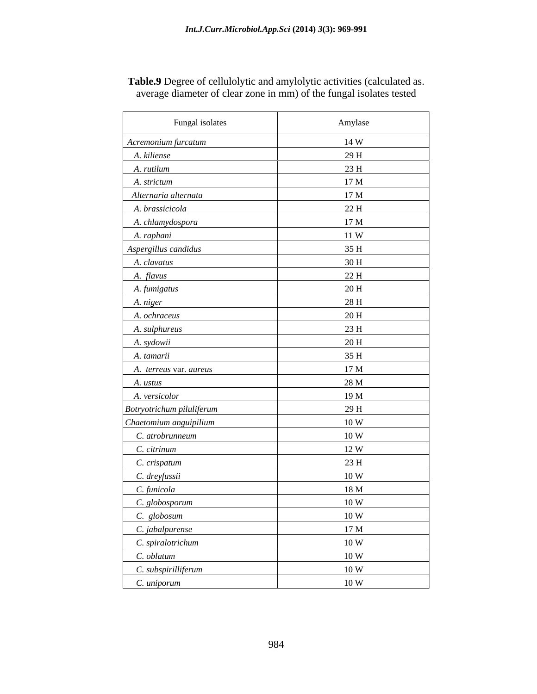| Fungal isolates           | Amylase         |
|---------------------------|-----------------|
| Acremonium furcatum       | 14 W            |
| A. kiliense               | 29H             |
| A. rutilum                | 23H             |
| A. strictum               | 17 <sub>M</sub> |
| Alternaria alternata      | 17 <sub>M</sub> |
| A. brassicicola           | 22 H            |
| A. chlamydospora          | 17 <sub>M</sub> |
| A. raphani                | 11 W            |
| Aspergillus candidus      | 35 H            |
| A. clavatus               | 30 H            |
| A. flavus                 | 22 H            |
| A. fumigatus              | 20H             |
| A. niger                  | 28 H            |
| A. ochraceus              | 20H             |
| A. sulphureus             | 23H             |
| A. sydowii                | 20H             |
| A. tamarii                | 35H             |
| A. terreus var. aureus    | 17 <sub>M</sub> |
| A. ustus                  | 28 M            |
| A. versicolor             | 19 M            |
| Botryotrichum piluliferum | 29 H            |
| Chaetomium anguipilium    | 10 W            |
| C. atrobrunneum           | 10W             |
| C. citrinum               | 12W             |
| C. crispatum              | 23 H            |
| C. dreyfussii             | 10 W            |
| C. funicola               | 18 <sub>M</sub> |
| C. globosporum            | 10 W            |
| C. globosum               | 10 W            |
| C. jabalpurense           | 17 M            |
| C. spiralotrichum         | 10W             |
| C. oblatum                | 10W             |
| C. subspirilliferum       | 10 W            |
| C. uniporum               | 10W             |

**Table.9** Degree of cellulolytic and amylolytic activities (calculated as. average diameter of clear zone in mm) of the fungal isolates tested

ŕ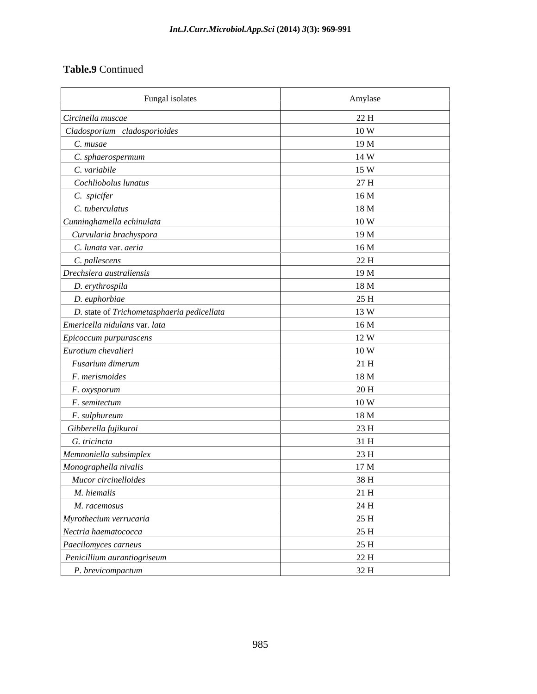## **Table.9** Continued

| Fungal isolates                            | Amylase         |
|--------------------------------------------|-----------------|
| Circinella muscae                          | 22 H            |
| Cladosporium cladosporioides               | 10 W            |
| C. musae                                   | 19 <sub>M</sub> |
| C. sphaerospermum                          | 14 W            |
| C. variabile                               | 15 W            |
| Cochliobolus lunatus                       | 27 H            |
| C. spicifer                                | 16M             |
| C. tuberculatus                            | 18M             |
| Cunninghamella echinulata                  | 10 W            |
| Curvularia brachyspora                     | 19M             |
| C. lunata var. aeria                       | 16M             |
| C. pallescens                              | 22 H            |
| Drechslera australiensis                   | 19 M            |
| D. erythrospila                            | 18 M            |
| D. euphorbiae                              | 25H             |
| D. state of Trichometasphaeria pedicellata | 13 W            |
| Emericella nidulans var. lata              | 16M             |
| Epicoccum purpurascens                     | 12 W            |
| Eurotium chevalieri                        | 10 W            |
| Fusarium dimerum                           | 21H             |
| F. merismoides                             | 18 M            |
| F. oxysporum                               | 20H             |
| F. semitectum                              | 10W             |
| F. sulphureum                              | 18 M            |
| Gibberella fujikuroi                       | 23H             |
| G. tricincta                               | 31 H            |
| Memnoniella subsimplex                     | 23H             |
| Monographella nivalis                      | 17 <sub>M</sub> |
| Mucor circinelloides                       | 38 H            |
| M. hiemalis                                | 21H             |
| M. racemosus                               | 24 H            |
| Myrothecium verrucaria                     | 25 H            |
| Nectria haematococca                       | 25 H            |
| Paecilomyces carneus                       | 25H             |
| Penicillium aurantiogriseum                | 22 H            |
| P. brevicompactum                          | 32 H            |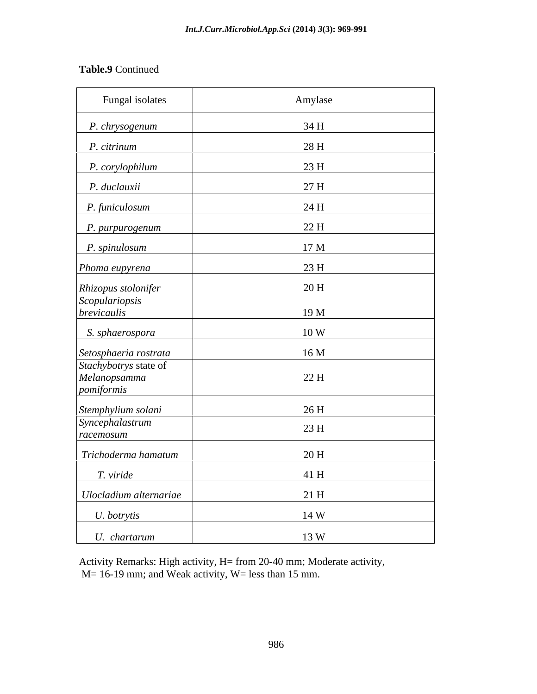# **Table.9** Continued

| Fungal isolates                                                              | Amylase          |
|------------------------------------------------------------------------------|------------------|
| P. chrysogenum                                                               | 34 H             |
| P. citrinum                                                                  | 28 H             |
| P. corylophilum                                                              | 23H              |
| P. duclauxii                                                                 | 27 H             |
| P. funiculosum                                                               | 24 H             |
| P. purpurogenum                                                              | 22 H             |
| P. spinulosum                                                                | 17 M             |
| Phoma eupyrena                                                               | 23H              |
|                                                                              | $20\ \mathrm{H}$ |
| Rhizopus stolonifer<br>Scopulariopsis<br>brevicaulis                         |                  |
|                                                                              | 19 M             |
| S. sphaerospora                                                              | 10W              |
|                                                                              | 16 <sub>M</sub>  |
| Setosphaeria rostrata<br>Stachybotrys state of<br>Melanopsamma<br>pomiformis | 22H              |
|                                                                              |                  |
| Stemphylium solani<br>Syncephalastrum                                        | 26H              |
| racemosum                                                                    | 23 H             |
| Trichoderma hamatum                                                          | 20H              |
| T. viride                                                                    | 41 H             |
| Ulocladium alternariae                                                       | 21H              |
| U. botrytis                                                                  | 14 W             |
| U. chartarum                                                                 | 13 W             |

Activity Remarks: High activity, H= from 20-40 mm; Moderate activity, M= 16-19 mm; and Weak activity, W= less than 15 mm.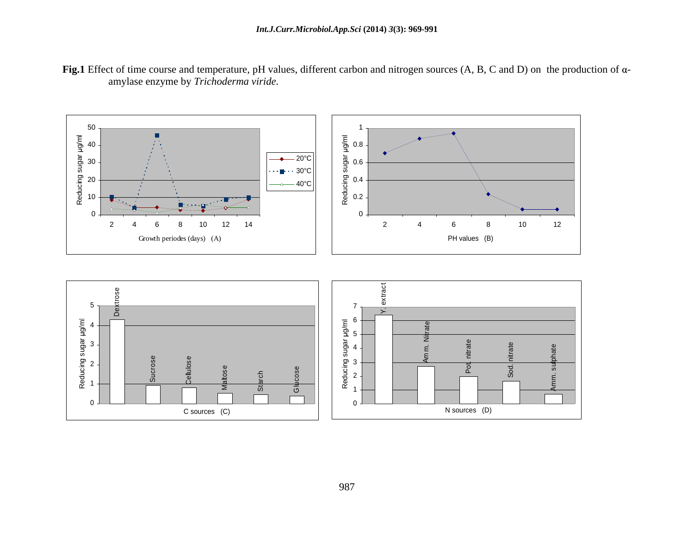

**Fig.1** Effect of time course and temperature, pH values, different carbon and nitrogen sources (A, B, C and D) on the production of αamylase enzyme by *Trichoderma viride.*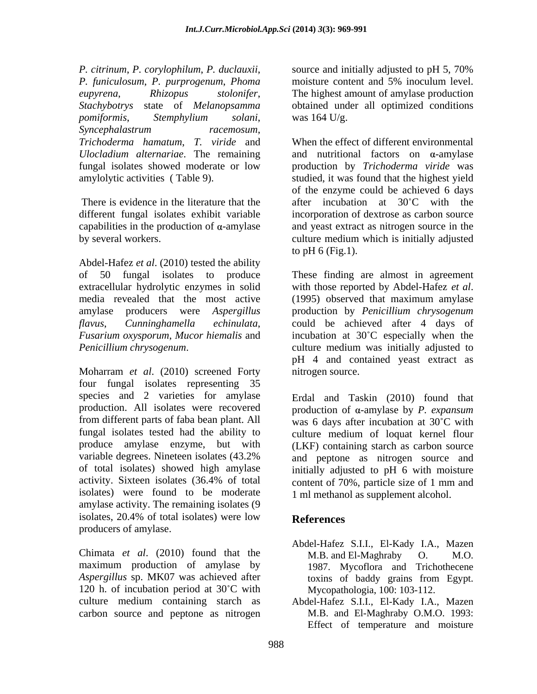*P. citrinum*, *P. corylophilum*, *P. duclauxii*, *P. funiculosum*, *P. purprogenum*, *Phoma eupyrena*, *Rhizopus stolonifer*, The highest amount of amylase production *Stachybotrys* state of *Melanopsamma*  obtained under all optimized conditions *pomiformis*, *Stemphylium solani*, *Syncephalastrum racemosum*,

capabilities in the production of  $\alpha$ -amylase

Abdel-Hafez *et al*. (2010) tested the ability extracellular hydrolytic enzymes in solid with those reported by Abdel-Hafez et al. media revealed that the most active (1995) observed that maximum amylase

Moharram *et al*. (2010) screened Forty four fungal isolates representing 35 species and 2 varieties for amylase Erdal and Taskin (2010) found that production. All isolates were recovered production of  $\alpha$ -amylase by *P. expansum* from different parts of faba bean plant. All was 6 days after incubation at  $30^{\circ}$ C with fungal isolates tested had the ability to culture medium of loquat kernel flour produce amylase enzyme, but with (LKF) containing starch as carbon source variable degrees. Nineteen isolates (43.2% and peptone as nitrogen source and of total isolates) showed high amylase activity. Sixteen isolates  $(36.4\% \text{ of total}$  content of  $70\%$ , particle size of 1 mm and isolates) were found to be moderate amylase activity. The remaining isolates (9 isolates, 20.4% of total isolates) were low **References** producers of amylase.

maximum production of amylase by *Aspergillus* sp. MK07 was achieved after 120 h. of incubation period at  $30^{\circ}$ C with carbon source and peptone as nitrogen

source and initially adjusted to pH 5, 70% moisture content and 5% inoculum level. was  $164 \text{ U/g}$ .

*Trichoderma hamatum*, *T. viride* and When the effect of different environmental Ulocladium alternariae. The remaining and nutritional factors on a-amylase fungal isolates showed moderate or low production by *Trichoderma viride* was amylolytic activities ( Table 9). studied, it was found that the highest yield There is evidence in the literature that the  $\qquad$  after incubation at 30°C with the different fungal isolates exhibit variable incorporation of dextrose as carbon source by several workers. culture medium which is initially adjusted of the enzyme could be achieved 6 days and yeast extract as nitrogen source in the to pH  $6$  (Fig.1).

of 50 fungal isolates to produce These finding are almost in agreement amylase producers were Aspergillus production by *Penicillium chrysogenum flavus*, *Cunninghamella echinulata*, could be achieved after 4 days of *Fusarium oxysporum*, *Mucor hiemalis* and incubation at 30 C especially when the *Penicillium chrysogenum*. culture medium was initially adjusted to with those reported by Abdel-Hafez *et al*. (1995) observed that maximum amylase pH 4 and contained yeast extract as nitrogen source.

> initially adjusted to pH 6 with moisture content of 70%, particle size of 1 mm and 1 ml methanol as supplement alcohol.

# **References**

- Chimata *et al.* (2010) found that the M.B. and El-Maghraby O. M.O. Abdel-Hafez S.I.I., El-Kady I.A., Mazen M.B. and El-Maghraby 1987. Mycoflora and Trichothecene toxins of baddy grains from Egypt. Mycopathologia, 100: 103-112.
- culture medium containing starch as Abdel-Hafez S.I.I., El-Kady I.A., Mazen M.B. and El-Maghraby O.M.O. 1993: Effect of temperature and moisture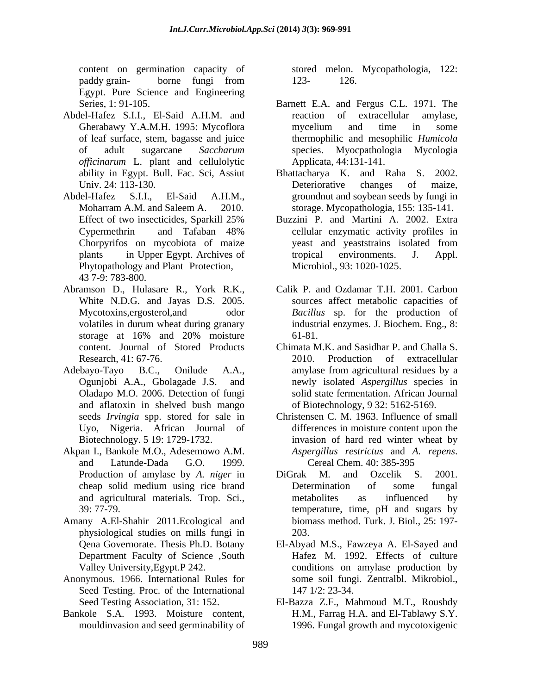content on germination capacity of stored melon. Mycopathologia, 122: paddy grain-<br>borne fungi from 123-126. Egypt. Pure Science and Engineering

- Abdel-Hafez S.I.I., El-Said A.H.M. and reaction of extracellular amylase, *officinarum* L. plant and cellulolytic
- Abdel-Hafez S.I.I., El-Said A.H.M., groundnut and soybean seeds by fungi in Phytopathology and Plant Protection, 43 7-9: 783-800.
- Abramson D., Hulasare R., York R.K., Calik P. and Ozdamar T.H. 2001. Carbon White N.D.G. and Jayas D.S. 2005.
- Adebayo-Tayo B.C., Onilude A.A., amylase from agricultural residues by a Oladapo M.O. 2006. Detection of fungi and aflatoxin in shelved bush mango
- Akpan I., Bankole M.O., Adesemowo A.M. *Aspergillus restrictus* and A. *repens.*
- Amany A.El-Shahir 2011.Ecological and physiological studies on mills fungi in
- Anonymous. 1966. International Rules for Seed Testing. Proc. of the International 147 1/2: 23-34.
- Bankole S.A. 1993. Moisture content,

123- 126.

- Series, 1: 91-105. Barnett E.A. and Fergus C.L. 1971. The Gherabawy Y.A.M.H. 1995: Mycoflora of leaf surface, stem, bagasse and juice thermophilic and mesophilic *Humicola* of adult sugarcane *Saccharum*  species. Myocpathologia Mycologia reaction of extracellular mycelium and time in some Applicata, 44:131-141.
- ability in Egypt. Bull. Fac. Sci, Assiut Bhattacharya K. and Raha S. 2002. Univ. 24: 113-130. Contract Deteriorative changes of maize, Moharram A.M. and Saleem A. 2010. storage. Mycopathologia, 155: 135-141. Deteriorative changes of maize,
- Effect of two insecticides, Sparkill 25% Buzzini P. and Martini A. 2002. Extra Cypermethrin and Tafaban 48% Chorpyrifos on mycobiota of maize plants in Upper Egypt. Archives of tropical environments. J. Appl. cellular enzymatic activity profiles in yeast and yeaststrains isolated from tropical environments. J. Appl. Microbiol., 93: 1020-1025.
- Mycotoxins,ergosterol,and odor *Bacillus* sp. for the production of volatiles in durum wheat during granary industrial enzymes. J. Biochem. Eng., 8: storage at 16% and 20% moisture 61-81. sources affect metabolic capacities of industrial enzymes. J.Biochem. Eng., 8: 61-81.
- content. Journal of Stored Products Chimata M.K. and Sasidhar P. and Challa S. Research, 41: 67-76. 2010. Production of extracellular Ogunjobi A.A., Gbolagade J.S. and newly isolated *Aspergillus* species in solid state fermentation. African Journal of Biotechnology, 9 32: 5162-5169.
- seeds *Irvingia* spp. stored for sale in Christensen C. M. 1963. Influence of small Uyo, Nigeria. African Journal of differences in moisture content upon the Biotechnology. 5 19: 1729-1732. invasion of hard red winter wheat by and Latunde-Dada G.O. 1999. *Aspergillus restrictus* and *A. repens*. Cereal Chem. 40: 385-395
- Production of amylase by *A. niger* in cheap solid medium using rice brand and agricultural materials. Trop. Sci., 39: 77-79. temperature, time, pH and sugars by DiGrak M. and Ozcelik S. 2001. Determination of some fungal metabolites as influenced by biomass method. Turk. J. Biol., 25: 197- 203.
- Qena Governorate. Thesis Ph.D. Botany El-Abyad M.S., Fawzeya A. El-Sayed and Department Faculty of Science ,South Hafez M. 1992. Effects of culture Valley University,Egypt.P 242. conditions on amylase production by some soil fungi. Zentralbl. Mikrobiol., 147 1/2: 23-34.
- Seed Testing Association, 31: 152. El-Bazza Z.F., Mahmoud M.T., Roushdy mouldinvasion and seed germinability of 1996. Fungal growth and mycotoxigenicH.M., Farrag H.A. and El-Tablawy S.Y.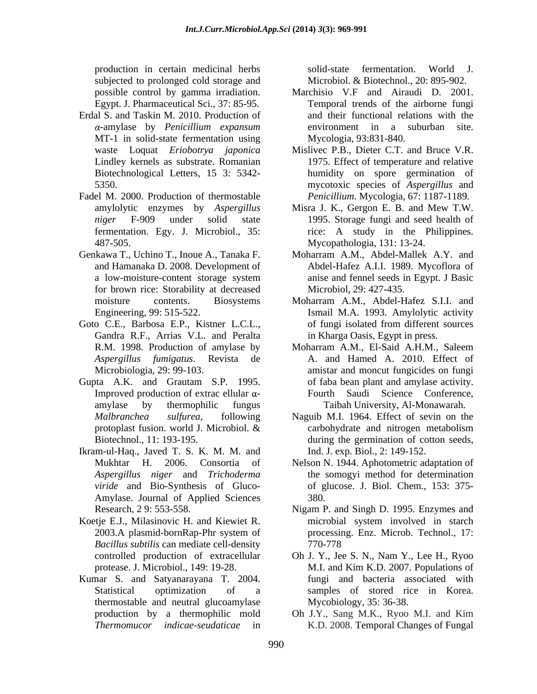production in certain medicinal herbs subjected to prolonged cold storage and<br>possible control by gamma irradiation.

- Erdal S. and Taskin M. 2010. Production of MT-1 in solid-state fermentation using Biotechnological Letters, 15 3: 5342-
- Fadel M. 2000. Production of thermostable
- Genkawa T., Uchino T., Inoue A., Tanaka F. Moharram A.M., Abdel-Mallek A.Y. and for brown rice: Storability at decreased
- Goto C.E., Barbosa E.P., Kistner L.C.L., of fungi isolated from different sources Gandra R.F., Arrias V.L. and Peralta
- Gupta A.K. and Grautam S.P. 1995. Improved production of extrac ellular  $\alpha$ - Fourth
- Ikram-ul-Haq., Javed T. S. K. M. M. and Amylase. Journal of Applied Sciences 380.
- Koetje E.J., Milasinovic H. and Kiewiet R. *Bacillus subtilis* can mediate cell-density
- Kumar S. and Satyanarayana T. 2004. thermostable and neutral glucoamylase

solid-state fermentation. World J. Microbiol. & Biotechnol., 20: 895-902.

- possible control by gamma irradiation. Marchisio V.F and Airaudi D. 2001. Egypt. J. Pharmaceutical Sci., 37: 85-95. Temporal trends of the airborne fungi -amylase by *Penicillium expansum* and their functional relations with the environment in a suburban site. Mycologia, 93:831-840.
- waste Loquat *Eriobotrya japonica* Mislivec P.B., Dieter C.T. and Bruce V.R. Lindley kernels as substrate. Romanian 1975. Effect of temperature and relative 5350. mycotoxic species of *Aspergillus* and humidity on spore germination of *Penicillium*. Mycologia, 67: 1187-1189.
- amylolytic enzymes by *Aspergillus*  Misra J. K., Gergon E. B. and Mew T.W. *niger* F-909 under solid state 1995. Storage fungi and seed health of fermentation. Egy. J. Microbiol., 35: rice: A study in the Philippines. 487-505. Mycopathologia, 131: 13-24.
- and Hamanaka D. 2008. Development of Abdel-Hafez A.I.I. 1989. Mycoflora of a low-moisture-content storage system anise and fennel seeds in Egypt. J Basic anise and fennel seeds in Egypt. J Basic Microbiol, 29: 427-435.
- moisture contents. Biosystems Moharram A.M., Abdel-Hafez S.I.I. and Engineering, 99: 515-522. Ismail M.A. 1993. Amylolytic activity of fungi isolated from different sources in Kharga Oasis, Egypt in press.
- R.M. 1998. Production of amylase by Moharram A.M., El-Said A.H.M., Saleem *Aspergillus fumigatus*. Revista de A. and Hamed A. 2010. Effect of Microbiologia, 29: 99-103. amistar and moncut fungicides on fungi amylase by thermophilic fungus Taibah University, Al-Monawarah. of faba bean plant and amylase activity. Saudi Science Conference,
- *Malbranchea sulfurea*, following Naguib M.I. 1964. Effect of sevin on the protoplast fusion. world J. Microbiol.  $\&$  carbohydrate and nitrogen metabolism Biotechnol., 11: 193-195. during the germination of cotton seeds, carbohydrate and nitrogen metabolism Ind. J. exp. Biol., 2: 149-152.
- Mukhtar H. 2006. Consortia of Nelson N. 1944. Aphotometric adaptation of *Aspergillus niger* and *Trichoderma*  the somogyi method for determination *viride* and Bio-Synthesis of Gluco- of glucose. J. Biol. Chem., 153: 375- 380.
- Research, 2 9: 553-558. Nigam P. and Singh D. 1995. Enzymes and 2003.A plasmid-bornRap-Phr system of processing. Enz. Microb. Technol., 17: microbial system involved in starch processing. Enz. Microb. Technol., 17: 770-778
- controlled production of extracellular Oh J. Y., Jee S. N., Nam Y., Lee H., Ryoo protease. J. Microbiol., 149: 19-28. M.I. and Kim K.D. 2007. Populations of Statistical optimization of a samples of stored rice in Korea. fungi and bacteria associated with Mycobiology, 35: 36-38.
- production by a thermophilic mold Oh J.Y., Sang M.K., Ryoo M.I. and Kim *Thermomucor indicae-seudaticae* in K.D. 2008. Temporal Changes of Fungal